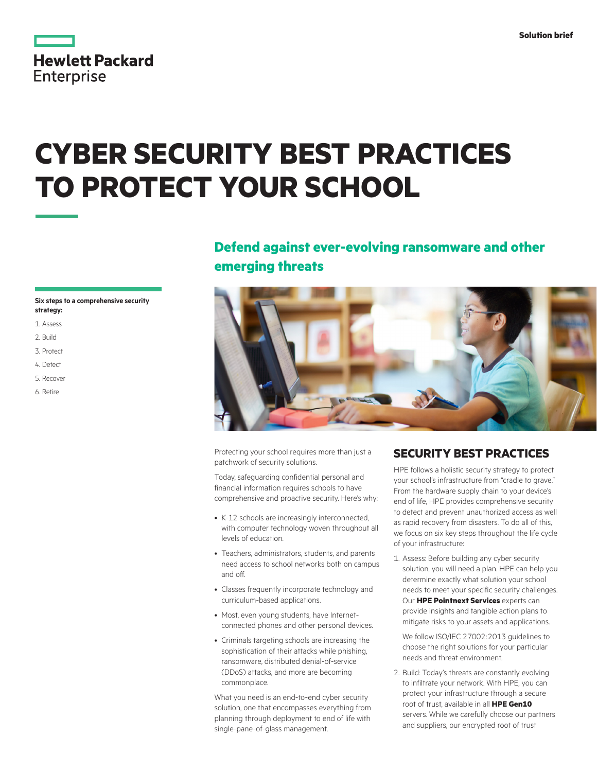|                   | <b>Hewlett Packard</b> |
|-------------------|------------------------|
| <b>Enterprise</b> |                        |

# **CYBER SECURITY BEST PRACTICES**

## **TO PROTECT YOUR SCHOOL**

## **Defend against ever-evolving ransomware and other emerging threats**

#### **Six steps to a comprehensive security strategy:**

- 1. Assess
- 2. Build
- 3. Protect
- 4. Detect
- 5. Recover
- 6. Retire



Protecting your school requires more than just a patchwork of security solutions.

Today, safeguarding confidential personal and financial information requires schools to have comprehensive and proactive security. Here's why:

- K-12 schools are increasingly interconnected, with computer technology woven throughout all levels of education.
- Teachers, administrators, students, and parents need access to school networks both on campus and off.
- Classes frequently incorporate technology and curriculum-based applications.
- Most, even young students, have Internetconnected phones and other personal devices.
- Criminals targeting schools are increasing the sophistication of their attacks while phishing, ransomware, distributed denial-of-service (DDoS) attacks, and more are becoming commonplace.

What you need is an end-to-end cyber security solution, one that encompasses everything from planning through deployment to end of life with single-pane-of-glass management.

#### **SECURITY BEST PRACTICES**

HPE follows a holistic security strategy to protect your school's infrastructure from "cradle to grave." From the hardware supply chain to your device's end of life, HPE provides comprehensive security to detect and prevent unauthorized access as well as rapid recovery from disasters. To do all of this, we focus on six key steps throughout the life cycle of your infrastructure:

1. Assess: Before building any cyber security solution, you will need a plan. HPE can help you determine exactly what solution your school needs to meet your specific security challenges. Our **HPE Pointnext Services** experts can provide insights and tangible action plans to mitigate risks to your assets and applications.

We follow ISO/IEC 27002:2013 guidelines to choose the right solutions for your particular needs and threat environment.

2. Build: Today's threats are constantly evolving to infiltrate your network. With HPE, you can protect your infrastructure through a secure root of trust, available in all **HPE Gen10**  servers. While we carefully choose our partners and suppliers, our encrypted root of trust